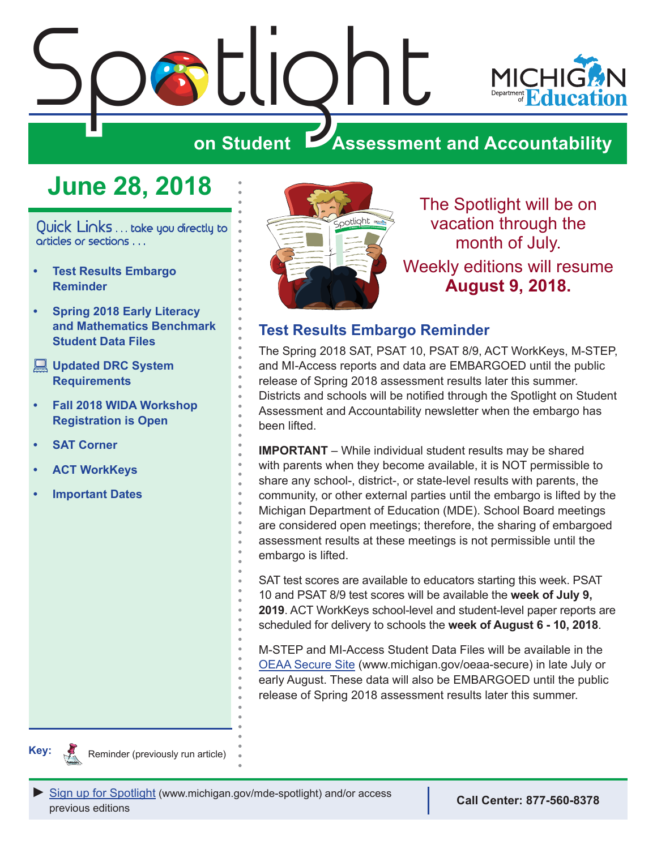<span id="page-0-0"></span>

## **June 28, 2018**

Quick Links . . . take you directly to articles or sections . . .

- **• Test Results Embargo Reminder**
- **• [Spring 2018 Early Literacy](#page-1-0)  [and Mathematics Benchmark](#page-1-0)  [Student Data Files](#page-1-0)**
- **Updated DRC System [Requirements](#page-2-0)**
- **• [Fall 2018 WIDA Workshop](#page-2-0)  [Registration is Open](#page-2-0)**
- **• [SAT Corner](#page-4-0)**
- **• [ACT WorkKeys](#page-6-0)**
- **• [Important Dates](#page-7-0)**



The Spotlight will be on vacation through the month of July. Weekly editions will resume **August 9, 2018.**

## **Test Results Embargo Reminder**

The Spring 2018 SAT, PSAT 10, PSAT 8/9, ACT WorkKeys, M-STEP, and MI-Access reports and data are EMBARGOED until the public release of Spring 2018 assessment results later this summer. Districts and schools will be notified through the Spotlight on Student Assessment and Accountability newsletter when the embargo has been lifted.

**IMPORTANT** – While individual student results may be shared with parents when they become available, it is NOT permissible to share any school-, district-, or state-level results with parents, the community, or other external parties until the embargo is lifted by the Michigan Department of Education (MDE). School Board meetings are considered open meetings; therefore, the sharing of embargoed assessment results at these meetings is not permissible until the embargo is lifted.

SAT test scores are available to educators starting this week. PSAT 10 and PSAT 8/9 test scores will be available the **week of July 9, 2019**. ACT WorkKeys school-level and student-level paper reports are scheduled for delivery to schools the **week of August 6 - 10, 2018**.

M-STEP and MI-Access Student Data Files will be available in the [OEAA Secure Site](http://www.michigan.gov/oeaa-secure) (www.michigan.gov/oeaa-secure) in late July or early August. These data will also be EMBARGOED until the public release of Spring 2018 assessment results later this summer.



Reminder (previously run article)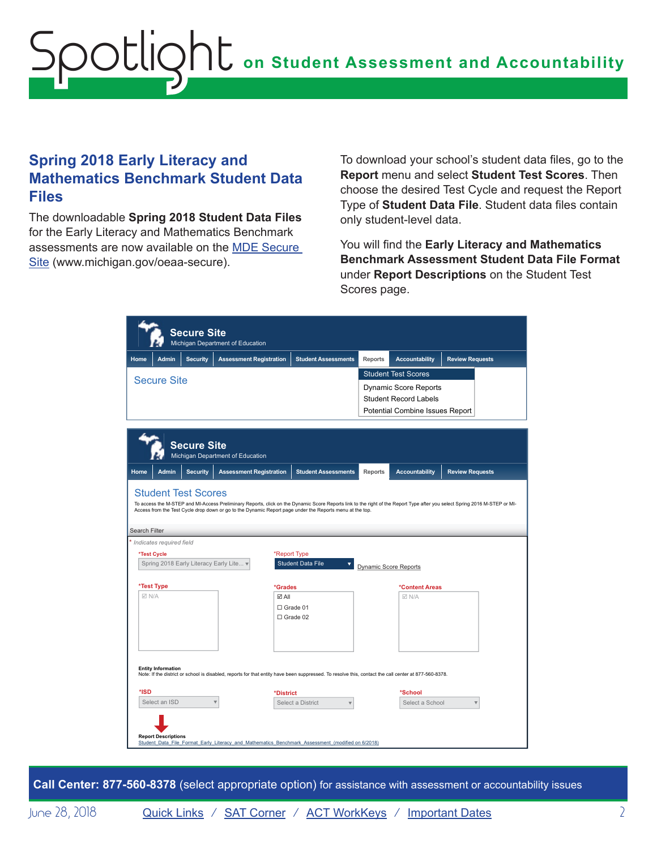# <span id="page-1-0"></span>**on Student Assessment and Accountability** Spotlight

## **Spring 2018 Early Literacy and Mathematics Benchmark Student Data Files**

The downloadable **Spring 2018 Student Data Files** for the Early Literacy and Mathematics Benchmark assessments are now available on the [MDE Secure](http://www.michigan.gov/oeaa-secure)  [Site](http://www.michigan.gov/oeaa-secure) (www.michigan.gov/oeaa-secure).

To download your school's student data files, go to the **Report** menu and select **Student Test Scores**. Then choose the desired Test Cycle and request the Report Type of **Student Data File**. Student data files contain only student-level data.

You will find the **Early Literacy and Mathematics Benchmark Assessment Student Data File Format** under **Report Descriptions** on the Student Test Scores page.

| <b>Secure Site</b><br>Michigan Department of Education                                                                                                                                                                                                                                                        |              |                 |                                                                                                   |                                    |                            |                                 |                        |  |
|---------------------------------------------------------------------------------------------------------------------------------------------------------------------------------------------------------------------------------------------------------------------------------------------------------------|--------------|-----------------|---------------------------------------------------------------------------------------------------|------------------------------------|----------------------------|---------------------------------|------------------------|--|
| Home                                                                                                                                                                                                                                                                                                          | <b>Admin</b> | <b>Security</b> | <b>Assessment Registration</b>                                                                    | <b>Student Assessments</b>         | <b>Reports</b>             | <b>Accountability</b>           | <b>Review Requests</b> |  |
| <b>Secure Site</b>                                                                                                                                                                                                                                                                                            |              |                 |                                                                                                   |                                    | <b>Student Test Scores</b> |                                 |                        |  |
|                                                                                                                                                                                                                                                                                                               |              |                 |                                                                                                   |                                    |                            | <b>Dynamic Score Reports</b>    |                        |  |
|                                                                                                                                                                                                                                                                                                               |              |                 |                                                                                                   |                                    |                            | <b>Student Record Labels</b>    |                        |  |
|                                                                                                                                                                                                                                                                                                               |              |                 |                                                                                                   |                                    |                            | Potential Combine Issues Report |                        |  |
| <b>Secure Site</b><br>Michigan Department of Education                                                                                                                                                                                                                                                        |              |                 |                                                                                                   |                                    |                            |                                 |                        |  |
| Home                                                                                                                                                                                                                                                                                                          | <b>Admin</b> | <b>Security</b> | <b>Assessment Registration</b>                                                                    | <b>Student Assessments</b>         | Reports                    | <b>Accountability</b>           | <b>Review Requests</b> |  |
| Access from the Test Cycle drop down or go to the Dynamic Report page under the Reports menu at the top.<br><b>Search Filter</b><br>Indicates required field<br>*Test Cycle<br>*Report Type<br>Spring 2018 Early Literacy Early Lite v<br><b>Student Data File</b><br>Y<br><b>Dynamic Score Reports</b>       |              |                 |                                                                                                   |                                    |                            |                                 |                        |  |
| *Test Type                                                                                                                                                                                                                                                                                                    |              |                 |                                                                                                   | *Grades                            |                            | *Content Areas                  |                        |  |
| ☑ N/A                                                                                                                                                                                                                                                                                                         |              |                 | <b>⊠ All</b>                                                                                      | $\Box$ Grade 01<br>$\Box$ Grade 02 |                            | $\boxtimes$ N/A                 |                        |  |
| <b>Entity Information</b><br>Note: If the district or school is disabled, reports for that entity have been suppressed. To resolve this, contact the call center at 877-560-8378.<br>*ISD<br>*School<br>*District<br>Select an ISD<br>Select a School<br>Select a District<br>v<br><b>Report Descriptions</b> |              |                 |                                                                                                   |                                    |                            |                                 |                        |  |
|                                                                                                                                                                                                                                                                                                               |              |                 | Student Data File Format Early Literacy and Mathematics Benchmark Assessment (modified on 6/2018) |                                    |                            |                                 |                        |  |

**Call Center: 877-560-8378** (select appropriate option) for assistance with assessment or accountability issues

June 28, 2018 **[Quick Links](#page-0-0)** / **[SAT Corner](#page-4-1)** / **[ACT WorkKeys](#page-6-1)** / **[Important Dates](#page-7-1)** 2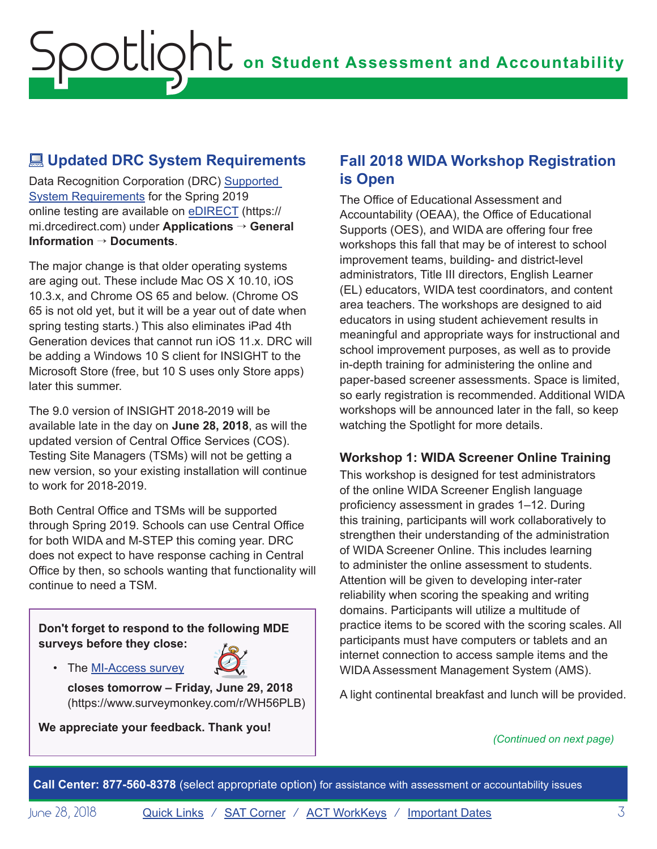## <span id="page-2-0"></span>**EDU Updated DRC System Requirements**

Data Recognition Corporation (DRC) [Supported](https://mi.drcedirect.com/Documents/Unsecure/Doc.aspx?id=4bbdb58a-eff1-4879-af18-d35323e8d37c)  [System Requirements](https://mi.drcedirect.com/Documents/Unsecure/Doc.aspx?id=4bbdb58a-eff1-4879-af18-d35323e8d37c) for the Spring 2019 online testing are available on [eDIRECT](https://mi.drcedirect.com) (https:// mi.drcedirect.com) under **Applications** → **General Information** → **Documents**.

The major change is that older operating systems are aging out. These include Mac OS X 10.10, iOS 10.3.x, and Chrome OS 65 and below. (Chrome OS 65 is not old yet, but it will be a year out of date when spring testing starts.) This also eliminates iPad 4th Generation devices that cannot run iOS 11.x. DRC will be adding a Windows 10 S client for INSIGHT to the Microsoft Store (free, but 10 S uses only Store apps) later this summer.

The 9.0 version of INSIGHT 2018-2019 will be available late in the day on **June 28, 2018**, as will the updated version of Central Office Services (COS). Testing Site Managers (TSMs) will not be getting a new version, so your existing installation will continue to work for 2018-2019.

Both Central Office and TSMs will be supported through Spring 2019. Schools can use Central Office for both WIDA and M-STEP this coming year. DRC does not expect to have response caching in Central Office by then, so schools wanting that functionality will continue to need a TSM.

**Don't forget to respond to the following MDE surveys before they close:**

• The [MI-Access survey](https://www.surveymonkey.com/r/WH56PLB) 



**closes tomorrow – Friday, June 29, 2018** (https://www.surveymonkey.com/r/WH56PLB)

**We appreciate your feedback. Thank you!**

## **Fall 2018 WIDA Workshop Registration is Open**

The Office of Educational Assessment and Accountability (OEAA), the Office of Educational Supports (OES), and WIDA are offering four free workshops this fall that may be of interest to school improvement teams, building- and district-level administrators, Title III directors, English Learner (EL) educators, WIDA test coordinators, and content area teachers. The workshops are designed to aid educators in using student achievement results in meaningful and appropriate ways for instructional and school improvement purposes, as well as to provide in-depth training for administering the online and paper-based screener assessments. Space is limited, so early registration is recommended. Additional WIDA workshops will be announced later in the fall, so keep watching the Spotlight for more details.

#### **Workshop 1: WIDA Screener Online Training**

This workshop is designed for test administrators of the online WIDA Screener English language proficiency assessment in grades 1–12. During this training, participants will work collaboratively to strengthen their understanding of the administration of WIDA Screener Online. This includes learning to administer the online assessment to students. Attention will be given to developing inter-rater reliability when scoring the speaking and writing domains. Participants will utilize a multitude of practice items to be scored with the scoring scales. All participants must have computers or tablets and an internet connection to access sample items and the WIDA Assessment Management System (AMS).

A light continental breakfast and lunch will be provided.

#### *(Continued on next page)*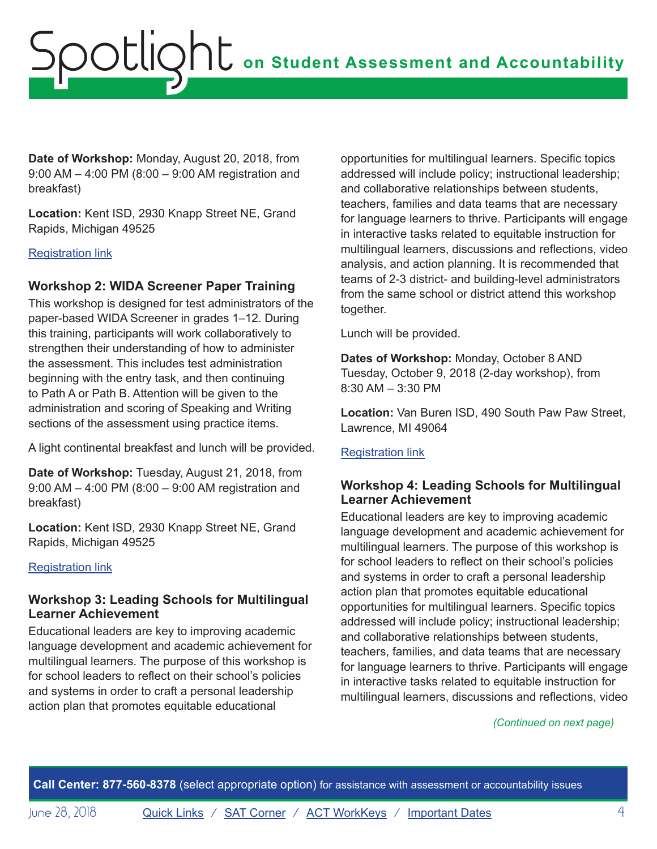**Date of Workshop:** Monday, August 20, 2018, from 9:00 AM – 4:00 PM (8:00 – 9:00 AM registration and breakfast)

**Location:** Kent ISD, 2930 Knapp Street NE, Grand Rapids, Michigan 49525

#### [Registration link](https://www.eventbrite.com/e/fall-2018-mde-wida-screener-online-training-tickets-47553868902)

#### **Workshop 2: WIDA Screener Paper Training**

This workshop is designed for test administrators of the paper-based WIDA Screener in grades 1–12. During this training, participants will work collaboratively to strengthen their understanding of how to administer the assessment. This includes test administration beginning with the entry task, and then continuing to Path A or Path B. Attention will be given to the administration and scoring of Speaking and Writing sections of the assessment using practice items.

A light continental breakfast and lunch will be provided.

**Date of Workshop:** Tuesday, August 21, 2018, from 9:00 AM – 4:00 PM (8:00 – 9:00 AM registration and breakfast)

**Location:** Kent ISD, 2930 Knapp Street NE, Grand Rapids, Michigan 49525

[Registration link](https://www.eventbrite.com/e/fall-2018-mde-wida-screener-paper-training-tickets-47554412528)

#### **Workshop 3: Leading Schools for Multilingual Learner Achievement**

Educational leaders are key to improving academic language development and academic achievement for multilingual learners. The purpose of this workshop is for school leaders to reflect on their school's policies and systems in order to craft a personal leadership action plan that promotes equitable educational

opportunities for multilingual learners. Specific topics addressed will include policy; instructional leadership; and collaborative relationships between students, teachers, families and data teams that are necessary for language learners to thrive. Participants will engage in interactive tasks related to equitable instruction for multilingual learners, discussions and reflections, video analysis, and action planning. It is recommended that teams of 2-3 district- and building-level administrators from the same school or district attend this workshop together.

Lunch will be provided.

**Dates of Workshop:** Monday, October 8 AND Tuesday, October 9, 2018 (2-day workshop), from 8:30 AM – 3:30 PM

**Location:** Van Buren ISD, 490 South Paw Paw Street, Lawrence, MI 49064

#### [Registration link](https://www.eventbrite.com/e/leading-schools-for-multilingual-learner-achievement-tickets-46676636075)

#### **Workshop 4: Leading Schools for Multilingual Learner Achievement**

Educational leaders are key to improving academic language development and academic achievement for multilingual learners. The purpose of this workshop is for school leaders to reflect on their school's policies and systems in order to craft a personal leadership action plan that promotes equitable educational opportunities for multilingual learners. Specific topics addressed will include policy; instructional leadership; and collaborative relationships between students, teachers, families, and data teams that are necessary for language learners to thrive. Participants will engage in interactive tasks related to equitable instruction for multilingual learners, discussions and reflections, video

#### *(Continued on next page)*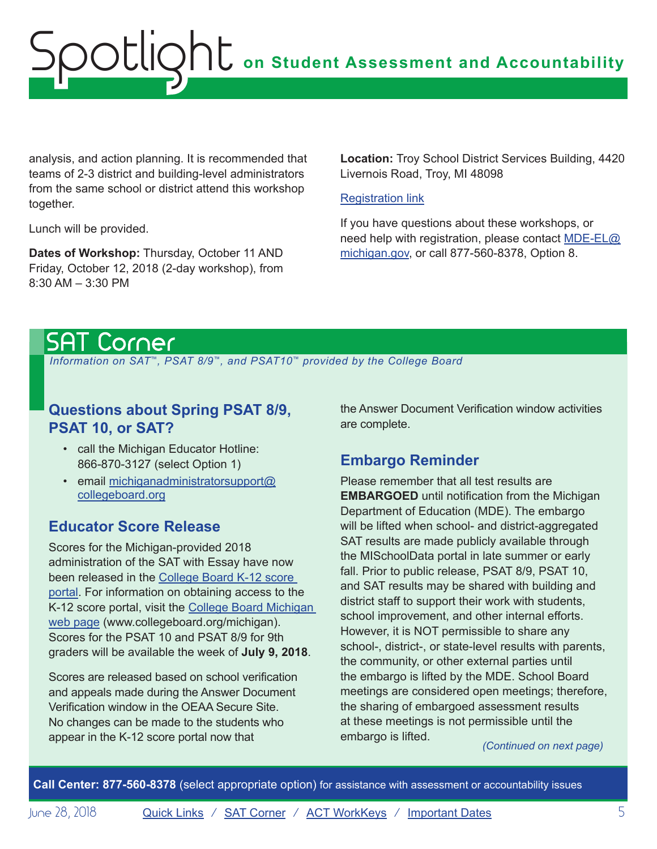## <span id="page-4-0"></span>**on Student Assessment and Accountability** Spotlight

analysis, and action planning. It is recommended that teams of 2-3 district and building-level administrators from the same school or district attend this workshop together.

Lunch will be provided.

**Dates of Workshop:** Thursday, October 11 AND Friday, October 12, 2018 (2-day workshop), from 8:30 AM – 3:30 PM

**Location:** Troy School District Services Building, 4420 Livernois Road, Troy, MI 48098

#### [Registration link](https://www.eventbrite.com/e/leading-schools-for-multilingual-learner-achievement-tickets-46676638081)

If you have questions about these workshops, or need help with registration, please contact [MDE-EL@](mailto:MDE-EL%40michigan.gov?subject=) [michigan.gov](mailto:MDE-EL%40michigan.gov?subject=), or call 877-560-8378, Option 8.

## <span id="page-4-1"></span>SAT Corner

 *Information on SAT*™*, PSAT 8/9*™*, and PSAT10*™ *provided by the College Board*

## **Questions about Spring PSAT 8/9, PSAT 10, or SAT?**

- call the Michigan Educator Hotline: 866-870-3127 (select Option 1)
- email [michiganadministratorsupport@](mailto:michiganadministratorsupport%40collegeboard.org?subject=) [collegeboard.org](mailto:michiganadministratorsupport%40collegeboard.org?subject=)

### **Educator Score Release**

Scores for the Michigan-provided 2018 administration of the SAT with Essay have now been released in the [College Board K-12 score](https://k12reports.collegeboard.org/login)  [portal.](https://k12reports.collegeboard.org/login) For information on obtaining access to the K-12 score portal, visit the [College Board Michigan](http://www.act.org/stateanddistrict/michigan)  [web page](http://www.act.org/stateanddistrict/michigan) (www.collegeboard.org/michigan). Scores for the PSAT 10 and PSAT 8/9 for 9th graders will be available the week of **July 9, 2018**.

Scores are released based on school verification and appeals made during the Answer Document Verification window in the OEAA Secure Site. No changes can be made to the students who appear in the K-12 score portal now that

the Answer Document Verification window activities are complete.

## **Embargo Reminder**

Please remember that all test results are **EMBARGOED** until notification from the Michigan Department of Education (MDE). The embargo will be lifted when school- and district-aggregated SAT results are made publicly available through the MISchoolData portal in late summer or early fall. Prior to public release, PSAT 8/9, PSAT 10, and SAT results may be shared with building and district staff to support their work with students, school improvement, and other internal efforts. However, it is NOT permissible to share any school-, district-, or state-level results with parents, the community, or other external parties until the embargo is lifted by the MDE. School Board meetings are considered open meetings; therefore, the sharing of embargoed assessment results at these meetings is not permissible until the embargo is lifted. *(Continued on next page)*

**Call Center: 877-560-8378** (select appropriate option) for assistance with assessment or accountability issues

June 28, 2018 **[Quick Links](#page-0-0)** / **[SAT Corner](#page-4-1)** / **[ACT WorkKeys](#page-6-1)** / **[Important Dates](#page-7-1)** 5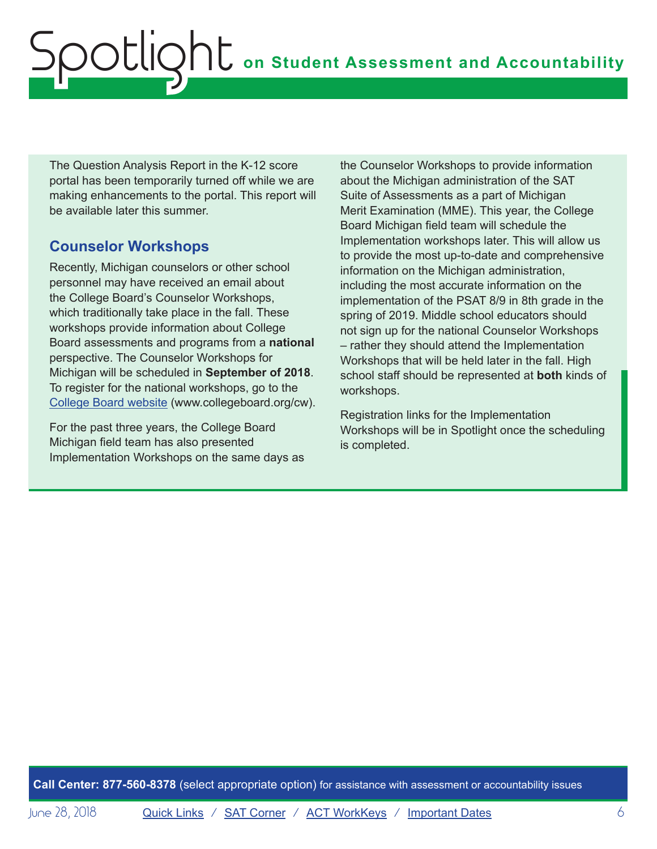The Question Analysis Report in the K-12 score portal has been temporarily turned off while we are making enhancements to the portal. This report will be available later this summer.

## **Counselor Workshops**

Recently, Michigan counselors or other school personnel may have received an email about the College Board's Counselor Workshops, which traditionally take place in the fall. These workshops provide information about College Board assessments and programs from a **national**  perspective. The Counselor Workshops for Michigan will be scheduled in **September of 2018**. To register for the national workshops, go to the [College Board website](http://www.collegeboard.org/cw) (www.collegeboard.org/cw).

For the past three years, the College Board Michigan field team has also presented Implementation Workshops on the same days as

the Counselor Workshops to provide information about the Michigan administration of the SAT Suite of Assessments as a part of Michigan Merit Examination (MME). This year, the College Board Michigan field team will schedule the Implementation workshops later. This will allow us to provide the most up-to-date and comprehensive information on the Michigan administration, including the most accurate information on the implementation of the PSAT 8/9 in 8th grade in the spring of 2019. Middle school educators should not sign up for the national Counselor Workshops – rather they should attend the Implementation Workshops that will be held later in the fall. High school staff should be represented at **both** kinds of workshops.

Registration links for the Implementation Workshops will be in Spotlight once the scheduling is completed.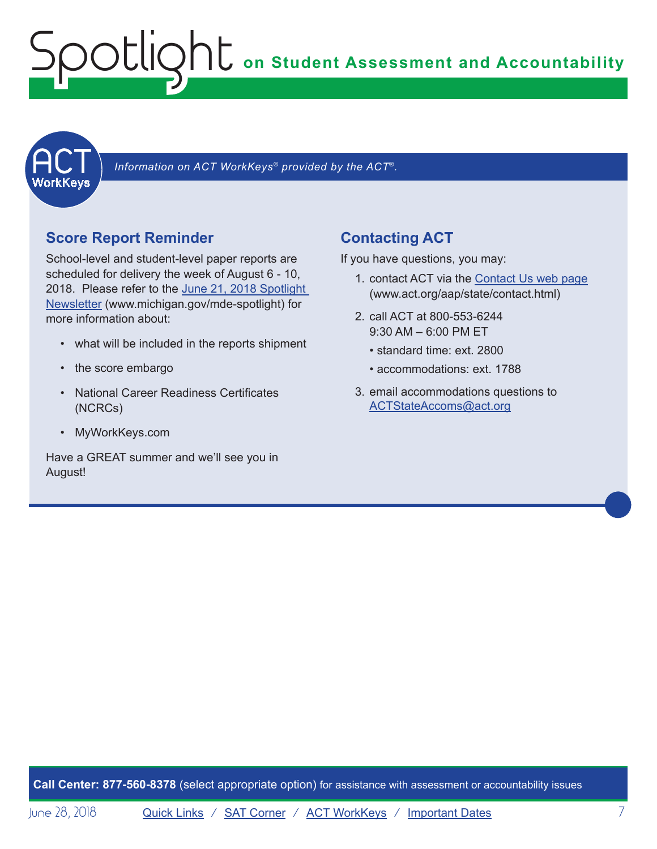<span id="page-6-0"></span>**on Student Assessment and Accountability** Spotlight

<span id="page-6-1"></span>

Information on ACT WorkKeys<sup>®</sup> provided by the ACT<sup>®</sup>.

## **Score Report Reminder**

School-level and student-level paper reports are scheduled for delivery the week of August 6 - 10, 2018. Please refer to the [June 21, 2018 Spotlight](https://www.michigan.gov/documents/mde/Spotlight_6-21-18_626037_7.pdf)  [Newsletter](https://www.michigan.gov/documents/mde/Spotlight_6-21-18_626037_7.pdf) (www.michigan.gov/mde-spotlight) for more information about:

- what will be included in the reports shipment
- the score embargo
- National Career Readiness Certificates (NCRCs)
- MyWorkKeys.com

Have a GREAT summer and we'll see you in August!

## **Contacting ACT**

If you have questions, you may:

- 1. contact ACT via the [Contact Us web page](http://www.act.org/aap/state/contact.html) [\(www.act.org/aap/state/contact.html\)](www.act.org/aap/state/contact.html)
- 2. call ACT at 800-553-6244 9:30 AM – 6:00 PM ET
	- standard time: ext. 2800
	- accommodations: ext. 1788
- 3. email accommodations questions to [ACTStateAccoms@act.org](mailto:ACTStateAccoms%40act.org?subject=)